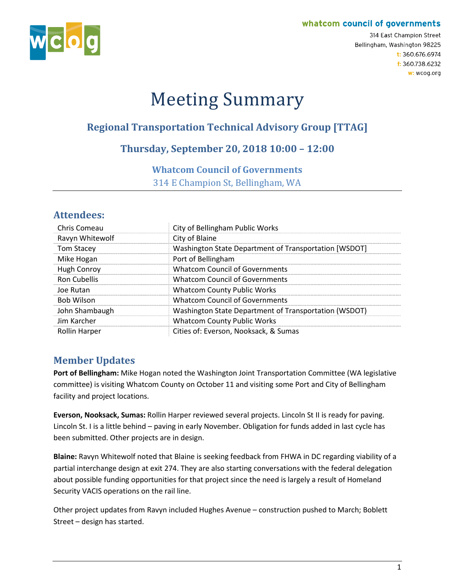#### whatcom council of governments



314 East Champion Street Bellingham, Washington 98225  $t: 360.676.6974$ f: 360.738.6232 w: wcog.org

# Meeting Summary

# **Regional Transportation Technical Advisory Group [TTAG]**

# **Thursday, September 20, 2018 10:00 – 12:00**

#### **Whatcom Council of Governments**

314 E Champion St, Bellingham, WA

# **Attendees:**

| Chris Comeau         | City of Bellingham Public Works                       |
|----------------------|-------------------------------------------------------|
| Ravyn Whitewolf      | City of Blaine                                        |
| <b>Tom Stacey</b>    | Washington State Department of Transportation [WSDOT] |
| Mike Hogan           | Port of Bellingham                                    |
| Hugh Conroy          | <b>Whatcom Council of Governments</b>                 |
| <b>Ron Cubellis</b>  | <b>Whatcom Council of Governments</b>                 |
| Joe Rutan            | <b>Whatcom County Public Works</b>                    |
| <b>Bob Wilson</b>    | <b>Whatcom Council of Governments</b>                 |
| John Shambaugh       | Washington State Department of Transportation (WSDOT) |
| Jim Karcher          | <b>Whatcom County Public Works</b>                    |
| <b>Rollin Harper</b> | Cities of: Everson, Nooksack, & Sumas                 |

# **Member Updates**

**Port of Bellingham:** Mike Hogan noted the Washington Joint Transportation Committee (WA legislative committee) is visiting Whatcom County on October 11 and visiting some Port and City of Bellingham facility and project locations.

**Everson, Nooksack, Sumas:** Rollin Harper reviewed several projects. Lincoln St II is ready for paving. Lincoln St. I is a little behind – paving in early November. Obligation for funds added in last cycle has been submitted. Other projects are in design.

**Blaine:** Ravyn Whitewolf noted that Blaine is seeking feedback from FHWA in DC regarding viability of a partial interchange design at exit 274. They are also starting conversations with the federal delegation about possible funding opportunities for that project since the need is largely a result of Homeland Security VACIS operations on the rail line.

Other project updates from Ravyn included Hughes Avenue – construction pushed to March; Boblett Street – design has started.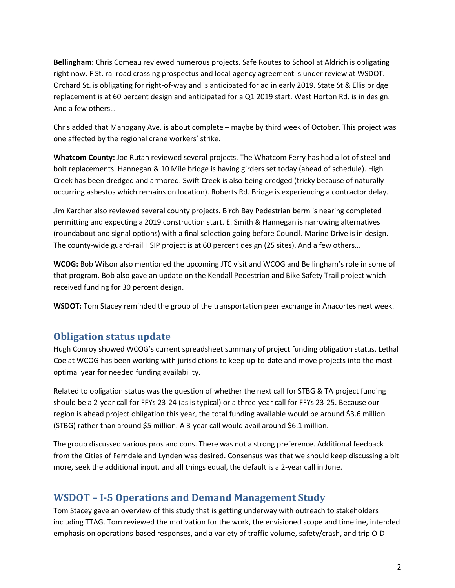**Bellingham:** Chris Comeau reviewed numerous projects. Safe Routes to School at Aldrich is obligating right now. F St. railroad crossing prospectus and local-agency agreement is under review at WSDOT. Orchard St. is obligating for right-of-way and is anticipated for ad in early 2019. State St & Ellis bridge replacement is at 60 percent design and anticipated for a Q1 2019 start. West Horton Rd. is in design. And a few others…

Chris added that Mahogany Ave. is about complete – maybe by third week of October. This project was one affected by the regional crane workers' strike.

**Whatcom County:** Joe Rutan reviewed several projects. The Whatcom Ferry has had a lot of steel and bolt replacements. Hannegan & 10 Mile bridge is having girders set today (ahead of schedule). High Creek has been dredged and armored. Swift Creek is also being dredged (tricky because of naturally occurring asbestos which remains on location). Roberts Rd. Bridge is experiencing a contractor delay.

Jim Karcher also reviewed several county projects. Birch Bay Pedestrian berm is nearing completed permitting and expecting a 2019 construction start. E. Smith & Hannegan is narrowing alternatives (roundabout and signal options) with a final selection going before Council. Marine Drive is in design. The county-wide guard-rail HSIP project is at 60 percent design (25 sites). And a few others…

**WCOG:** Bob Wilson also mentioned the upcoming JTC visit and WCOG and Bellingham's role in some of that program. Bob also gave an update on the Kendall Pedestrian and Bike Safety Trail project which received funding for 30 percent design.

**WSDOT:** Tom Stacey reminded the group of the transportation peer exchange in Anacortes next week.

# **Obligation status update**

Hugh Conroy showed WCOG's current spreadsheet summary of project funding obligation status. Lethal Coe at WCOG has been working with jurisdictions to keep up-to-date and move projects into the most optimal year for needed funding availability.

Related to obligation status was the question of whether the next call for STBG & TA project funding should be a 2-year call for FFYs 23-24 (as is typical) or a three-year call for FFYs 23-25. Because our region is ahead project obligation this year, the total funding available would be around \$3.6 million (STBG) rather than around \$5 million. A 3-year call would avail around \$6.1 million.

The group discussed various pros and cons. There was not a strong preference. Additional feedback from the Cities of Ferndale and Lynden was desired. Consensus was that we should keep discussing a bit more, seek the additional input, and all things equal, the default is a 2-year call in June.

### **WSDOT – I-5 Operations and Demand Management Study**

Tom Stacey gave an overview of this study that is getting underway with outreach to stakeholders including TTAG. Tom reviewed the motivation for the work, the envisioned scope and timeline, intended emphasis on operations-based responses, and a variety of traffic-volume, safety/crash, and trip O-D